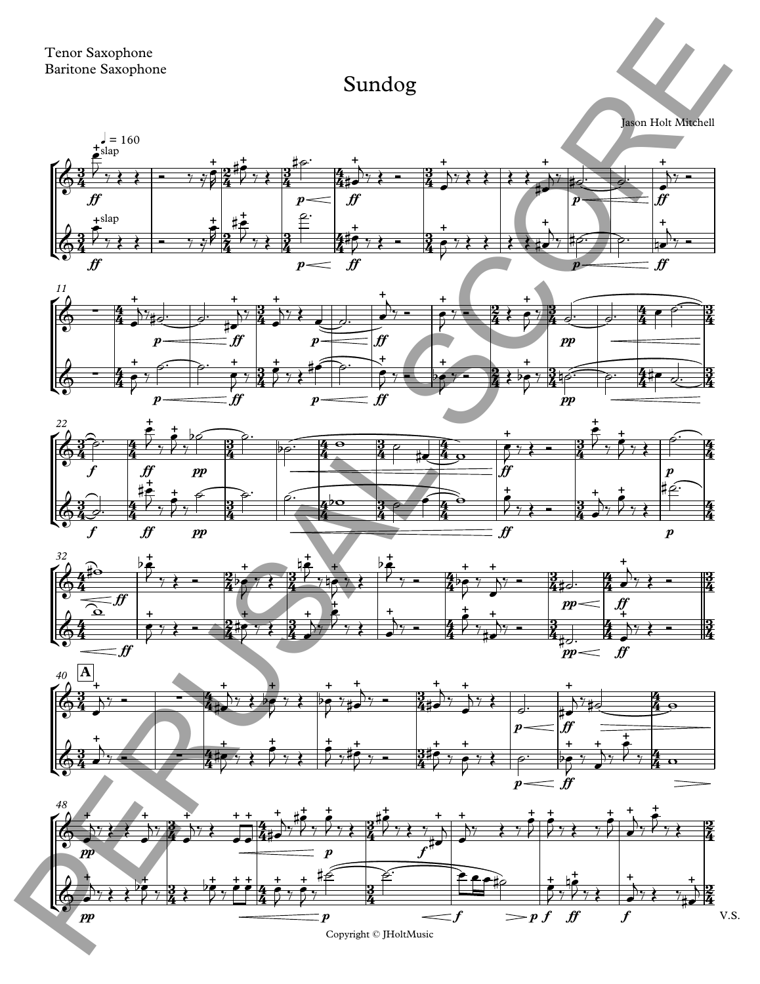Sundog











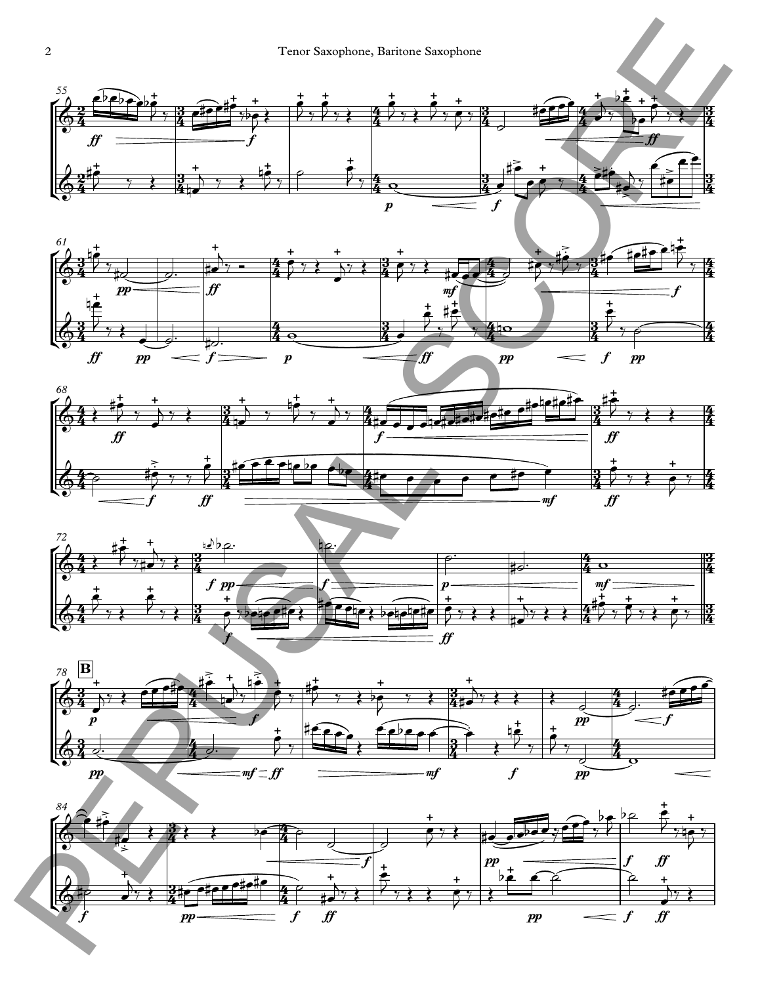









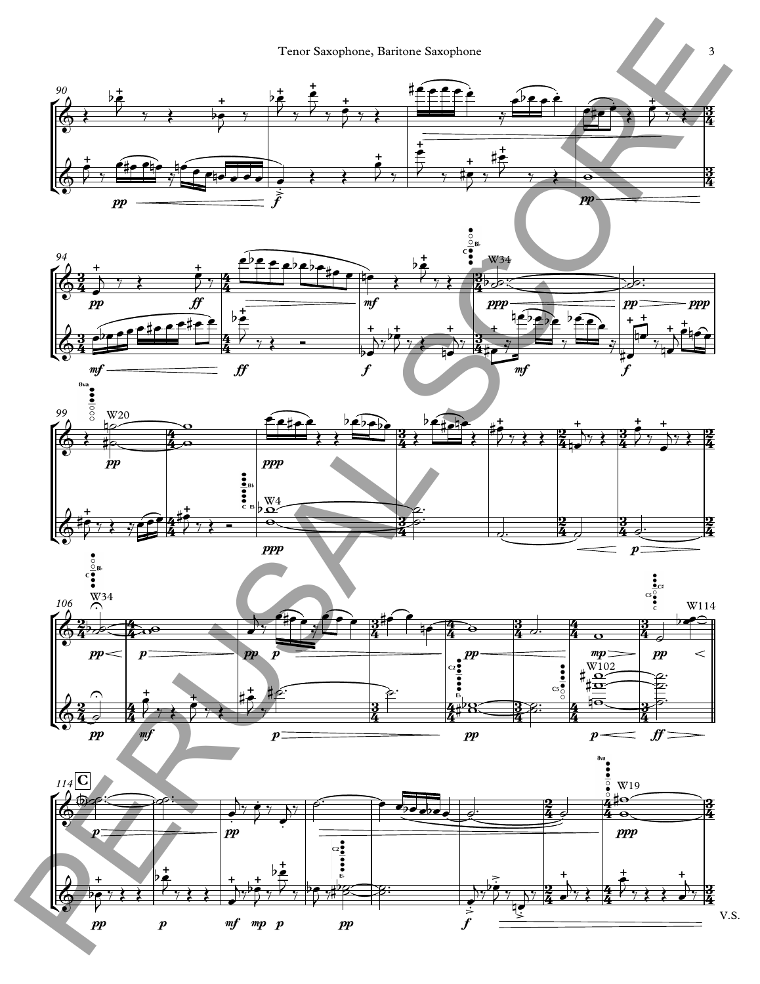Tenor Saxophone, Baritone Saxophone 3